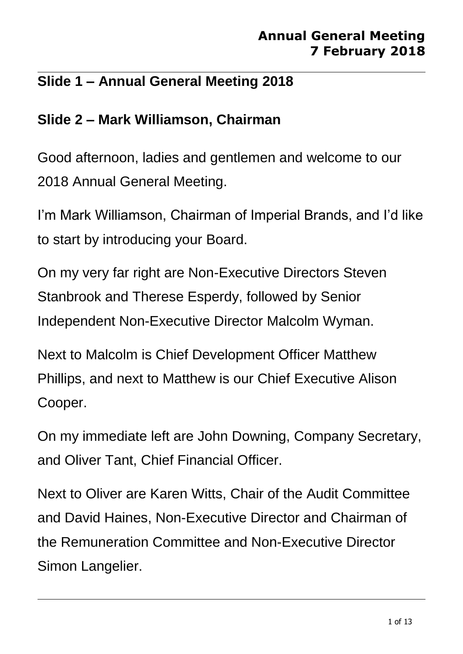## **Slide 1 – Annual General Meeting 2018**

## **Slide 2 – Mark Williamson, Chairman**

Good afternoon, ladies and gentlemen and welcome to our 2018 Annual General Meeting.

I'm Mark Williamson, Chairman of Imperial Brands, and I'd like to start by introducing your Board.

On my very far right are Non-Executive Directors Steven Stanbrook and Therese Esperdy, followed by Senior Independent Non-Executive Director Malcolm Wyman.

Next to Malcolm is Chief Development Officer Matthew Phillips, and next to Matthew is our Chief Executive Alison Cooper.

On my immediate left are John Downing, Company Secretary, and Oliver Tant, Chief Financial Officer.

Next to Oliver are Karen Witts, Chair of the Audit Committee and David Haines, Non-Executive Director and Chairman of the Remuneration Committee and Non-Executive Director Simon Langelier.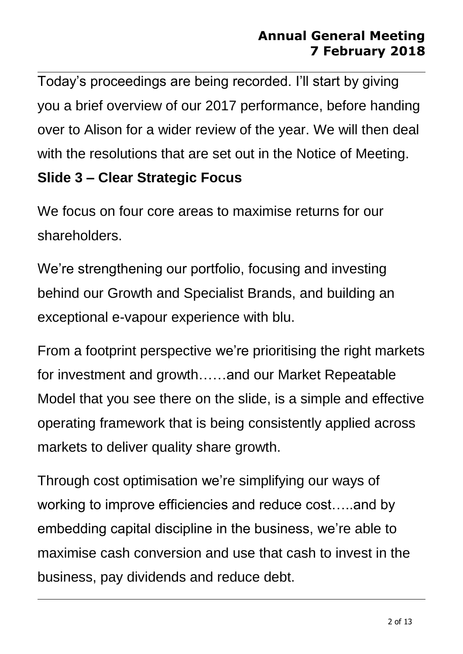Today's proceedings are being recorded. I'll start by giving you a brief overview of our 2017 performance, before handing over to Alison for a wider review of the year. We will then deal with the resolutions that are set out in the Notice of Meeting.

## **Slide 3 – Clear Strategic Focus**

We focus on four core areas to maximise returns for our shareholders.

We're strengthening our portfolio, focusing and investing behind our Growth and Specialist Brands, and building an exceptional e-vapour experience with blu.

From a footprint perspective we're prioritising the right markets for investment and growth……and our Market Repeatable Model that you see there on the slide, is a simple and effective operating framework that is being consistently applied across markets to deliver quality share growth.

Through cost optimisation we're simplifying our ways of working to improve efficiencies and reduce cost…..and by embedding capital discipline in the business, we're able to maximise cash conversion and use that cash to invest in the business, pay dividends and reduce debt.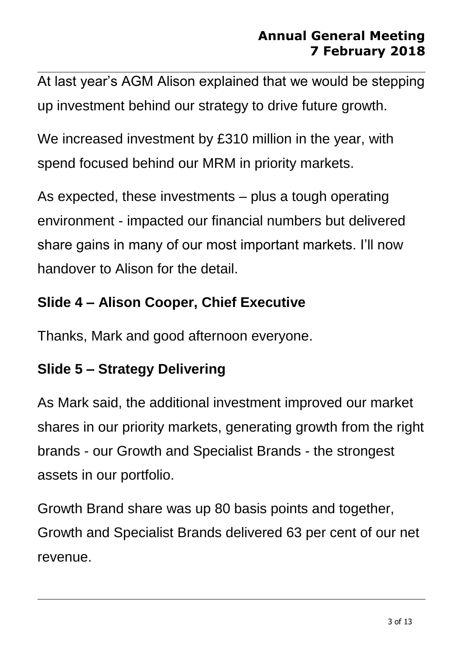At last year's AGM Alison explained that we would be stepping up investment behind our strategy to drive future growth.

We increased investment by £310 million in the year, with spend focused behind our MRM in priority markets.

As expected, these investments – plus a tough operating environment - impacted our financial numbers but delivered share gains in many of our most important markets. I'll now handover to Alison for the detail.

## **Slide 4 – Alison Cooper, Chief Executive**

Thanks, Mark and good afternoon everyone.

## **Slide 5 – Strategy Delivering**

As Mark said, the additional investment improved our market shares in our priority markets, generating growth from the right brands - our Growth and Specialist Brands - the strongest assets in our portfolio.

Growth Brand share was up 80 basis points and together, Growth and Specialist Brands delivered 63 per cent of our net revenue.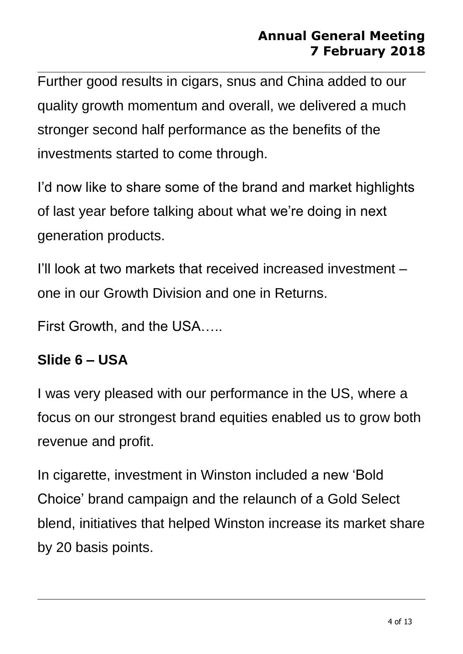Further good results in cigars, snus and China added to our quality growth momentum and overall, we delivered a much stronger second half performance as the benefits of the investments started to come through.

I'd now like to share some of the brand and market highlights of last year before talking about what we're doing in next generation products.

I'll look at two markets that received increased investment – one in our Growth Division and one in Returns.

First Growth, and the USA…..

## **Slide 6 – USA**

I was very pleased with our performance in the US, where a focus on our strongest brand equities enabled us to grow both revenue and profit.

In cigarette, investment in Winston included a new 'Bold Choice' brand campaign and the relaunch of a Gold Select blend, initiatives that helped Winston increase its market share by 20 basis points.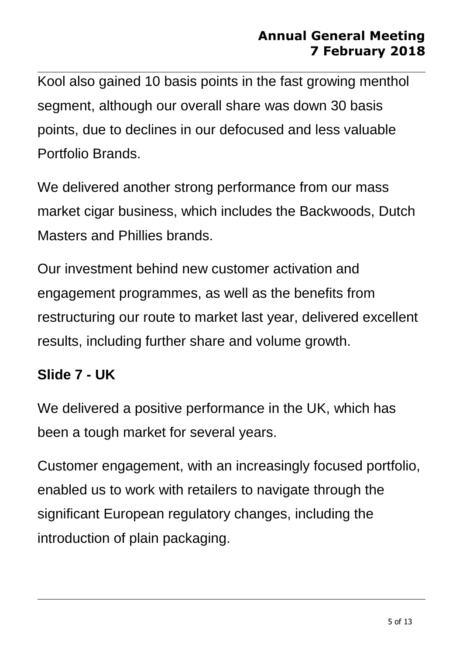Kool also gained 10 basis points in the fast growing menthol segment, although our overall share was down 30 basis points, due to declines in our defocused and less valuable Portfolio Brands.

We delivered another strong performance from our mass market cigar business, which includes the Backwoods, Dutch Masters and Phillies brands.

Our investment behind new customer activation and engagement programmes, as well as the benefits from restructuring our route to market last year, delivered excellent results, including further share and volume growth.

#### **Slide 7 - UK**

We delivered a positive performance in the UK, which has been a tough market for several years.

Customer engagement, with an increasingly focused portfolio, enabled us to work with retailers to navigate through the significant European regulatory changes, including the introduction of plain packaging.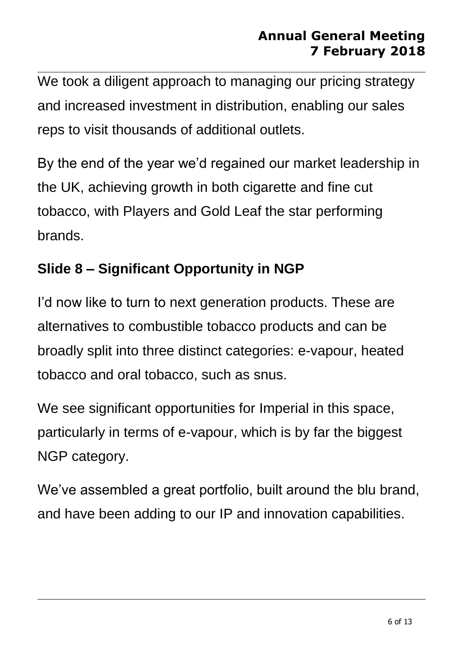We took a diligent approach to managing our pricing strategy and increased investment in distribution, enabling our sales reps to visit thousands of additional outlets.

By the end of the year we'd regained our market leadership in the UK, achieving growth in both cigarette and fine cut tobacco, with Players and Gold Leaf the star performing brands.

# **Slide 8 – Significant Opportunity in NGP**

I'd now like to turn to next generation products. These are alternatives to combustible tobacco products and can be broadly split into three distinct categories: e-vapour, heated tobacco and oral tobacco, such as snus.

We see significant opportunities for Imperial in this space, particularly in terms of e-vapour, which is by far the biggest NGP category.

We've assembled a great portfolio, built around the blu brand, and have been adding to our IP and innovation capabilities.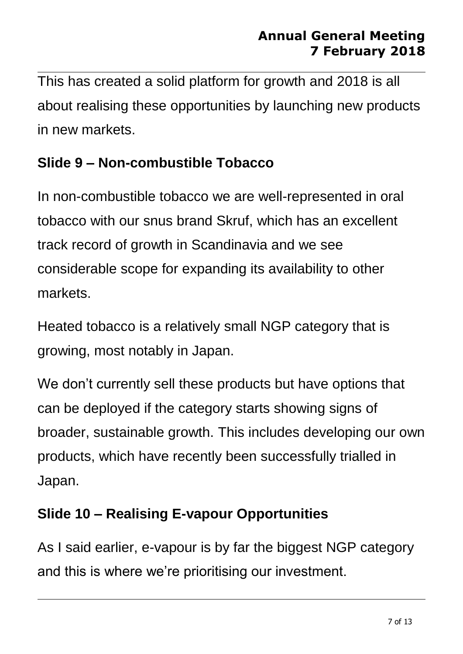This has created a solid platform for growth and 2018 is all about realising these opportunities by launching new products in new markets.

# **Slide 9 – Non-combustible Tobacco**

In non-combustible tobacco we are well-represented in oral tobacco with our snus brand Skruf, which has an excellent track record of growth in Scandinavia and we see considerable scope for expanding its availability to other markets.

Heated tobacco is a relatively small NGP category that is growing, most notably in Japan.

We don't currently sell these products but have options that can be deployed if the category starts showing signs of broader, sustainable growth. This includes developing our own products, which have recently been successfully trialled in Japan.

# **Slide 10 – Realising E-vapour Opportunities**

As I said earlier, e-vapour is by far the biggest NGP category and this is where we're prioritising our investment.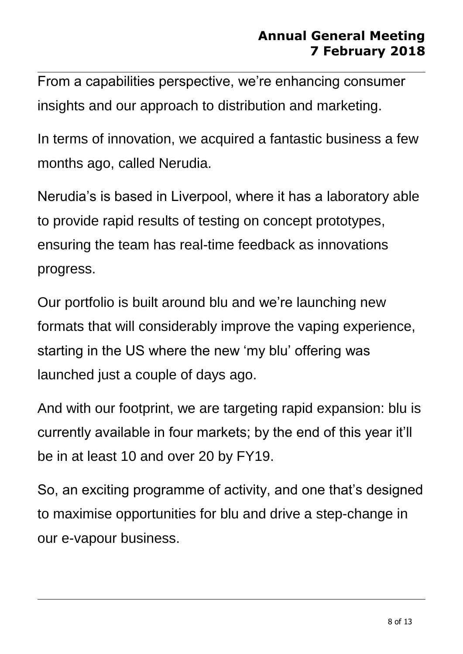From a capabilities perspective, we're enhancing consumer insights and our approach to distribution and marketing.

In terms of innovation, we acquired a fantastic business a few months ago, called Nerudia.

Nerudia's is based in Liverpool, where it has a laboratory able to provide rapid results of testing on concept prototypes, ensuring the team has real-time feedback as innovations progress.

Our portfolio is built around blu and we're launching new formats that will considerably improve the vaping experience, starting in the US where the new 'my blu' offering was launched just a couple of days ago.

And with our footprint, we are targeting rapid expansion: blu is currently available in four markets; by the end of this year it'll be in at least 10 and over 20 by FY19.

So, an exciting programme of activity, and one that's designed to maximise opportunities for blu and drive a step-change in our e-vapour business.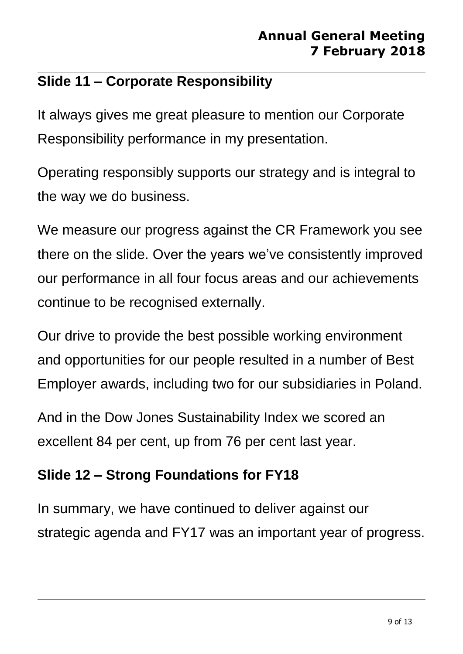## **Slide 11 – Corporate Responsibility**

It always gives me great pleasure to mention our Corporate Responsibility performance in my presentation.

Operating responsibly supports our strategy and is integral to the way we do business.

We measure our progress against the CR Framework you see there on the slide. Over the years we've consistently improved our performance in all four focus areas and our achievements continue to be recognised externally.

Our drive to provide the best possible working environment and opportunities for our people resulted in a number of Best Employer awards, including two for our subsidiaries in Poland.

And in the Dow Jones Sustainability Index we scored an excellent 84 per cent, up from 76 per cent last year.

# **Slide 12 – Strong Foundations for FY18**

In summary, we have continued to deliver against our strategic agenda and FY17 was an important year of progress.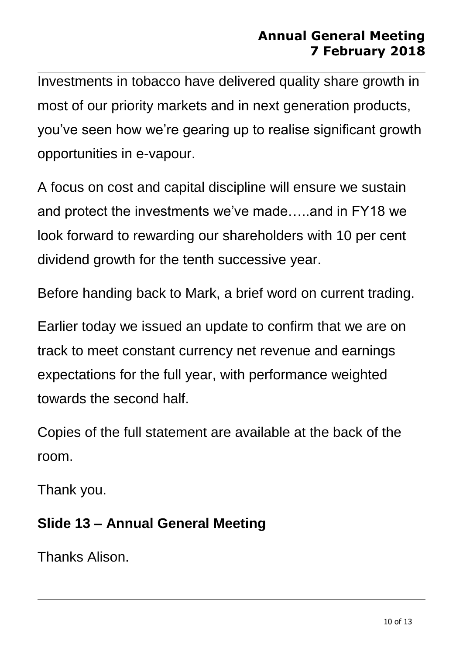Investments in tobacco have delivered quality share growth in most of our priority markets and in next generation products, you've seen how we're gearing up to realise significant growth opportunities in e-vapour.

A focus on cost and capital discipline will ensure we sustain and protect the investments we've made…..and in FY18 we look forward to rewarding our shareholders with 10 per cent dividend growth for the tenth successive year.

Before handing back to Mark, a brief word on current trading.

Earlier today we issued an update to confirm that we are on track to meet constant currency net revenue and earnings expectations for the full year, with performance weighted towards the second half.

Copies of the full statement are available at the back of the room.

Thank you.

#### **Slide 13 – Annual General Meeting**

Thanks Alison.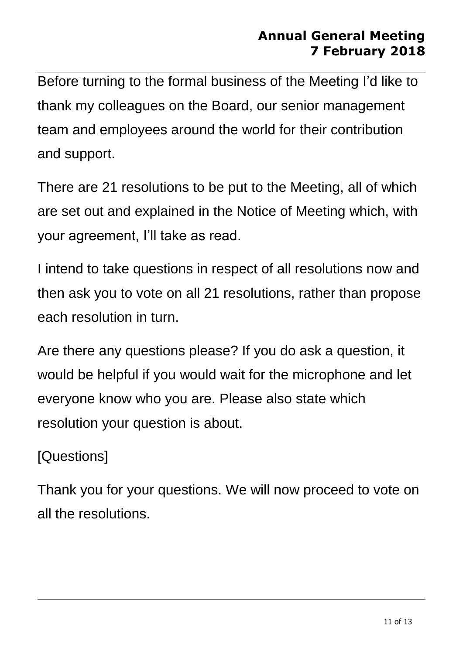Before turning to the formal business of the Meeting I'd like to thank my colleagues on the Board, our senior management team and employees around the world for their contribution and support.

There are 21 resolutions to be put to the Meeting, all of which are set out and explained in the Notice of Meeting which, with your agreement, I'll take as read.

I intend to take questions in respect of all resolutions now and then ask you to vote on all 21 resolutions, rather than propose each resolution in turn.

Are there any questions please? If you do ask a question, it would be helpful if you would wait for the microphone and let everyone know who you are. Please also state which resolution your question is about.

## [Questions]

Thank you for your questions. We will now proceed to vote on all the resolutions.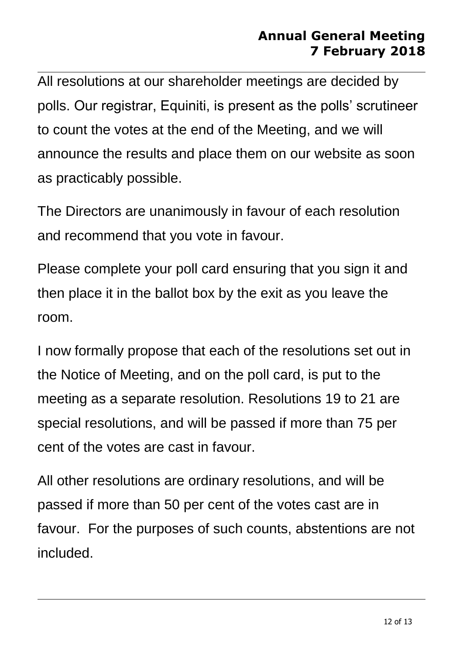All resolutions at our shareholder meetings are decided by polls. Our registrar, Equiniti, is present as the polls' scrutineer to count the votes at the end of the Meeting, and we will announce the results and place them on our website as soon as practicably possible.

The Directors are unanimously in favour of each resolution and recommend that you vote in favour.

Please complete your poll card ensuring that you sign it and then place it in the ballot box by the exit as you leave the room.

I now formally propose that each of the resolutions set out in the Notice of Meeting, and on the poll card, is put to the meeting as a separate resolution. Resolutions 19 to 21 are special resolutions, and will be passed if more than 75 per cent of the votes are cast in favour.

All other resolutions are ordinary resolutions, and will be passed if more than 50 per cent of the votes cast are in favour. For the purposes of such counts, abstentions are not included.